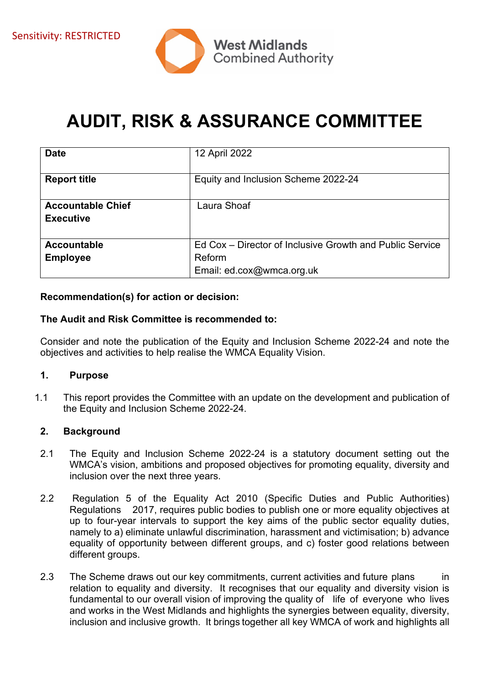

# **AUDIT, RISK & ASSURANCE COMMITTEE**

| <b>Date</b>              | 12 April 2022                                            |
|--------------------------|----------------------------------------------------------|
| <b>Report title</b>      | Equity and Inclusion Scheme 2022-24                      |
| <b>Accountable Chief</b> | Laura Shoaf                                              |
| <b>Executive</b>         |                                                          |
|                          |                                                          |
| Accountable              | Ed Cox – Director of Inclusive Growth and Public Service |
| <b>Employee</b>          | Reform                                                   |
|                          | Email: ed.cox@wmca.org.uk                                |

#### **Recommendation(s) for action or decision:**

#### **The Audit and Risk Committee is recommended to:**

Consider and note the publication of the Equity and Inclusion Scheme 2022-24 and note the objectives and activities to help realise the WMCA Equality Vision.

#### **1. Purpose**

1.1 This report provides the Committee with an update on the development and publication of the Equity and Inclusion Scheme 2022-24.

#### **2. Background**

- 2.1 The Equity and Inclusion Scheme 2022-24 is a statutory document setting out the WMCA's vision, ambitions and proposed objectives for promoting equality, diversity and inclusion over the next three years.
- 2.2 Regulation 5 of the Equality Act 2010 (Specific Duties and Public Authorities) Regulations 2017, requires public bodies to publish one or more equality objectives at up to four-year intervals to support the key aims of the public sector equality duties, namely to a) eliminate unlawful discrimination, harassment and victimisation; b) advance equality of opportunity between different groups, and c) foster good relations between different groups.
- 2.3 The Scheme draws out our key commitments, current activities and future plans in relation to equality and diversity. It recognises that our equality and diversity vision is fundamental to our overall vision of improving the quality of life of everyone who lives and works in the West Midlands and highlights the synergies between equality, diversity, inclusion and inclusive growth. It brings together all key WMCA of work and highlights all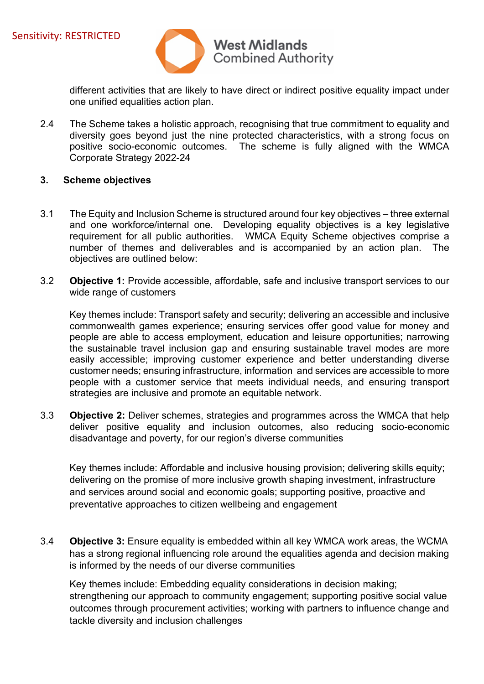

different activities that are likely to have direct or indirect positive equality impact under one unified equalities action plan.

2.4 The Scheme takes a holistic approach, recognising that true commitment to equality and diversity goes beyond just the nine protected characteristics, with a strong focus on positive socio-economic outcomes. The scheme is fully aligned with the WMCA Corporate Strategy 2022-24

#### **3. Scheme objectives**

- 3.1 The Equity and Inclusion Scheme is structured around four key objectives three external and one workforce/internal one. Developing equality objectives is a key legislative requirement for all public authorities. WMCA Equity Scheme objectives comprise a number of themes and deliverables and is accompanied by an action plan. The objectives are outlined below:
- 3.2 **Objective 1:** Provide accessible, affordable, safe and inclusive transport services to our wide range of customers

Key themes include: Transport safety and security; delivering an accessible and inclusive commonwealth games experience; ensuring services offer good value for money and people are able to access employment, education and leisure opportunities; narrowing the sustainable travel inclusion gap and ensuring sustainable travel modes are more easily accessible; improving customer experience and better understanding diverse customer needs; ensuring infrastructure, information and services are accessible to more people with a customer service that meets individual needs, and ensuring transport strategies are inclusive and promote an equitable network.

3.3 **Objective 2:** Deliver schemes, strategies and programmes across the WMCA that help deliver positive equality and inclusion outcomes, also reducing socio-economic disadvantage and poverty, for our region's diverse communities

Key themes include: Affordable and inclusive housing provision; delivering skills equity; delivering on the promise of more inclusive growth shaping investment, infrastructure and services around social and economic goals; supporting positive, proactive and preventative approaches to citizen wellbeing and engagement

3.4 **Objective 3:** Ensure equality is embedded within all key WMCA work areas, the WCMA has a strong regional influencing role around the equalities agenda and decision making is informed by the needs of our diverse communities

Key themes include: Embedding equality considerations in decision making; strengthening our approach to community engagement; supporting positive social value outcomes through procurement activities; working with partners to influence change and tackle diversity and inclusion challenges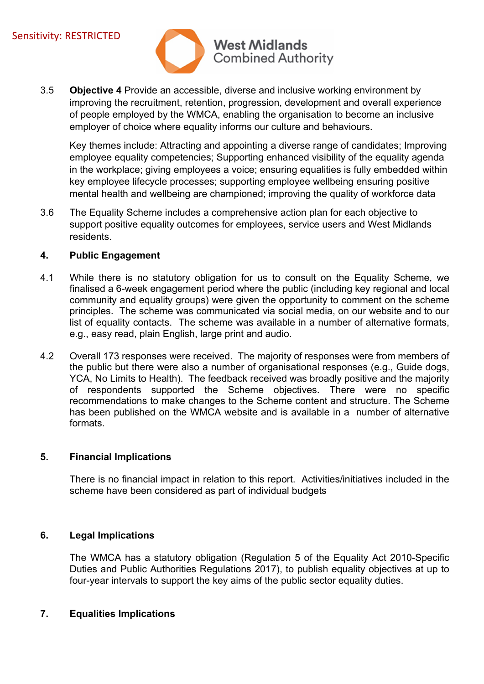

3.5 **Objective 4** Provide an accessible, diverse and inclusive working environment by improving the recruitment, retention, progression, development and overall experience of people employed by the WMCA, enabling the organisation to become an inclusive employer of choice where equality informs our culture and behaviours.

Key themes include: Attracting and appointing a diverse range of candidates; Improving employee equality competencies; Supporting enhanced visibility of the equality agenda in the workplace; giving employees a voice; ensuring equalities is fully embedded within key employee lifecycle processes; supporting employee wellbeing ensuring positive mental health and wellbeing are championed; improving the quality of workforce data

3.6 The Equality Scheme includes a comprehensive action plan for each objective to support positive equality outcomes for employees, service users and West Midlands residents.

## **4. Public Engagement**

- 4.1 While there is no statutory obligation for us to consult on the Equality Scheme, we finalised a 6-week engagement period where the public (including key regional and local community and equality groups) were given the opportunity to comment on the scheme principles. The scheme was communicated via social media, on our website and to our list of equality contacts. The scheme was available in a number of alternative formats, e.g., easy read, plain English, large print and audio.
- 4.2 Overall 173 responses were received. The majority of responses were from members of the public but there were also a number of organisational responses (e.g., Guide dogs, YCA, No Limits to Health). The feedback received was broadly positive and the majority of respondents supported the Scheme objectives. There were no specific recommendations to make changes to the Scheme content and structure. The Scheme has been published on the WMCA website and is available in a number of alternative formats.

## **5. Financial Implications**

There is no financial impact in relation to this report. Activities/initiatives included in the scheme have been considered as part of individual budgets

## **6. Legal Implications**

The WMCA has a statutory obligation (Regulation 5 of the Equality Act 2010-Specific Duties and Public Authorities Regulations 2017), to publish equality objectives at up to four-year intervals to support the key aims of the public sector equality duties.

## **7. Equalities Implications**